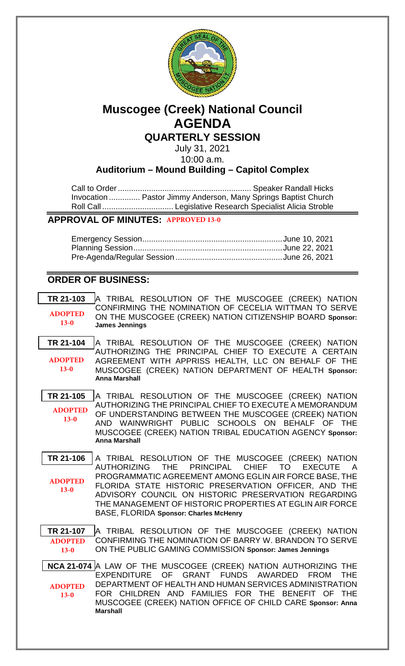

# **Muscogee (Creek) National Council AGENDA QUARTERLY SESSION**

July 31, 2021 10:00 a.m.

**Auditorium – Mound Building – Capitol Complex**

Call to Order............................................................ Speaker Randall Hicks Invocation .............. Pastor Jimmy Anderson, Many Springs Baptist Church Roll Call ................................ Legislative Research Specialist Alicia Stroble

## **APPROVAL OF MINUTES: APPROVED 13-0**

## **ORDER OF BUSINESS:**

**[TR 21-103](bills/21-103.pdf)** A TRIBAL RESOLUTION OF THE MUSCOGEE (CREEK) NATION CONFIRMING THE NOMINATION OF CECELIA WITTMAN TO SERVE ON THE MUSCOGEE (CREEK) NATION CITIZENSHIP BOARD **Sponsor: James Jennings ADOPTED 13-0**

**[TR 21-104](bills/21-104.pdf)** A TRIBAL RESOLUTION OF THE MUSCOGEE (CREEK) NATION AUTHORIZING THE PRINCIPAL CHIEF TO EXECUTE A CERTAIN AGREEMENT WITH APPRISS HEALTH, LLC ON BEHALF OF THE MUSCOGEE (CREEK) NATION DEPARTMENT OF HEALTH **Sponsor: Anna Marshall ADOPTED 13-0**

**[TR 21-105](bills/21-105.pdf)** A TRIBAL RESOLUTION OF THE MUSCOGEE (CREEK) NATION AUTHORIZING THE PRINCIPAL CHIEF TO EXECUTE A MEMORANDUM OF UNDERSTANDING BETWEEN THE MUSCOGEE (CREEK) NATION AND WAINWRIGHT PUBLIC SCHOOLS ON BEHALF OF THE MUSCOGEE (CREEK) NATION TRIBAL EDUCATION AGENCY **Sponsor: Anna Marshall ADOPTED 13-0**

**[TR 21-106](bills/21-106.pdf)** A TRIBAL RESOLUTION OF THE MUSCOGEE (CREEK) NATION AUTHORIZING THE PRINCIPAL CHIEF TO EXECUTE A PROGRAMMATIC AGREEMENT AMONG EGLIN AIR FORCE BASE, THE FLORIDA STATE HISTORIC PRESERVATION OFFICER, AND THE ADVISORY COUNCIL ON HISTORIC PRESERVATION REGARDING THE MANAGEMENT OF HISTORIC PROPERTIES AT EGLIN AIR FORCE BASE, FLORIDA **Sponsor: Charles McHenry ADOPTED 13-0**

**[TR 21-107](bills/21-107.pdf)** A TRIBAL RESOLUTION OF THE MUSCOGEE (CREEK) NATION CONFIRMING THE NOMINATION OF BARRY W. BRANDON TO SERVE ON THE PUBLIC GAMING COMMISSION **Sponsor: James Jennings ADOPTED 13-0**

**[NCA 21-074](bills/NCA21-074.pdf)** A LAW OF THE MUSCOGEE (CREEK) NATION AUTHORIZING THE EXPENDITURE OF GRANT FUNDS AWARDED FROM THE DEPARTMENT OF HEALTH AND HUMAN SERVICES ADMINISTRATION FOR CHILDREN AND FAMILIES FOR THE BENEFIT OF THE MUSCOGEE (CREEK) NATION OFFICE OF CHILD CARE **Sponsor: Anna Marshall ADOPTED 13-0**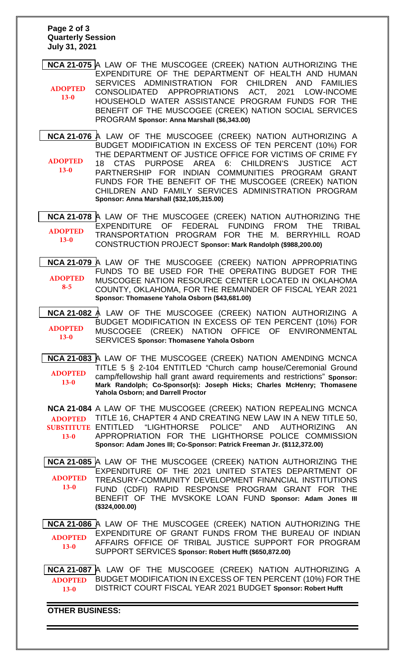#### **Page 2 of 3 Quarterly Session July 31, 2021**

**[NCA 21-075](bills/NCA21-075.pdf)** A LAW OF THE MUSCOGEE (CREEK) NATION AUTHORIZING THE EXPENDITURE OF THE DEPARTMENT OF HEALTH AND HUMAN SERVICES ADMINISTRATION FOR CHILDREN AND FAMILIES CONSOLIDATED APPROPRIATIONS ACT, 2021 LOW-INCOME HOUSEHOLD WATER ASSISTANCE PROGRAM FUNDS FOR THE BENEFIT OF THE MUSCOGEE (CREEK) NATION SOCIAL SERVICES PROGRAM **Sponsor: Anna Marshall (\$6,343.00) ADOPTED 13-0**

**[NCA 21-076](bills/NCA21-076.pdf)** A LAW OF THE MUSCOGEE (CREEK) NATION AUTHORIZING A BUDGET MODIFICATION IN EXCESS OF TEN PERCENT (10%) FOR THE DEPARTMENT OF JUSTICE OFFICE FOR VICTIMS OF CRIME FY 18 CTAS PURPOSE AREA 6: CHILDREN'S JUSTICE ACT PARTNERSHIP FOR INDIAN COMMUNITIES PROGRAM GRANT FUNDS FOR THE BENEFIT OF THE MUSCOGEE (CREEK) NATION CHILDREN AND FAMILY SERVICES ADMINISTRATION PROGRAM **Sponsor: Anna Marshall (\$32,105,315.00) ADOPTED 13-0**

**[NCA 21-078](bills/NCA21-078.pdf)** A LAW OF THE MUSCOGEE (CREEK) NATION AUTHORIZING THE EXPENDITURE OF FEDERAL FUNDING FROM THE TRIBAL TRANSPORTATION PROGRAM FOR THE M. BERRYHILL ROAD CONSTRUCTION PROJECT **Sponsor: Mark Randolph (\$988,200.00) ADOPTED 13-0**

**[NCA 21-079](bills/NCA21-079.pdf)** A LAW OF THE MUSCOGEE (CREEK) NATION APPROPRIATING FUNDS TO BE USED FOR THE OPERATING BUDGET FOR THE MUSCOGEE NATION RESOURCE CENTER LOCATED IN OKLAHOMA COUNTY, OKLAHOMA, FOR THE REMAINDER OF FISCAL YEAR 2021 **Sponsor: Thomasene Yahola Osborn (\$43,681.00) ADOPTED 8-5**

**NCA [21-082](bills/NCA21-082.pdf)** A LAW OF THE MUSCOGEE (CREEK) NATION AUTHORIZING A BUDGET MODIFICATION IN EXCESS OF TEN PERCENT (10%) FOR MUSCOGEE (CREEK) NATION OFFICE OF ENVIRONMENTAL SERVICES **Sponsor: Thomasene Yahola Osborn ADOPTED 13-0**

**[NCA 21-083](bills/NCA21-083.pdf)** A LAW OF THE MUSCOGEE (CREEK) NATION AMENDING MCNCA TITLE 5 § 2-104 ENTITLED "Church camp house/Ceremonial Ground camp/fellowship hall grant award requirements and restrictions" **Sponsor: Mark Randolph; Co-Sponsor(s): Joseph Hicks; Charles McHenry; Thomasene Yahola Osborn; and Darrell Proctor ADOPTED 13-0**

**[NCA 21-084](bills/nca21-084.pdf)** A LAW OF THE MUSCOGEE (CREEK) NATION REPEALING MCNCA TITLE 16, CHAPTER 4 AND CREATING NEW LAW IN A NEW TITLE 50, "LIGHTHORSE POLICE" AND AUTHORIZING AN APPROPRIATION FOR THE LIGHTHORSE POLICE COMMISSION **Sponsor: Adam Jones III; Co-Sponsor: Patrick Freeman Jr. (\$112,372.00) ADOPTED SUBSTITUTE ENTITLED 13-0**

**[NCA 21-085](bills/NCA21-085.pdf)** A LAW OF THE MUSCOGEE (CREEK) NATION AUTHORIZING THE EXPENDITURE OF THE 2021 UNITED STATES DEPARTMENT OF TREASURY-COMMUNITY DEVELOPMENT FINANCIAL INSTITUTIONS FUND (CDFI) RAPID RESPONSE PROGRAM GRANT FOR THE BENEFIT OF THE MVSKOKE LOAN FUND **Sponsor: Adam Jones III (\$324,000.00) ADOPTED 13-0**

**[NCA 21-086](bills/NCA21-086.pdf)** A LAW OF THE MUSCOGEE (CREEK) NATION AUTHORIZING THE EXPENDITURE OF GRANT FUNDS FROM THE BUREAU OF INDIAN AFFAIRS OFFICE OF TRIBAL JUSTICE SUPPORT FOR PROGRAM SUPPORT SERVICES **Sponsor: Robert Hufft (\$650,872.00) ADOPTED 13-0**

**[NCA 21-087](bills/NCA21-087.pdf)** A LAW OF THE MUSCOGEE (CREEK) NATION AUTHORIZING A BUDGET MODIFICATION IN EXCESS OF TEN PERCENT (10%) FOR THE DISTRICT COURT FISCAL YEAR 2021 BUDGET **Sponsor: Robert Hufft ADOPTED 13-0**

**OTHER BUSINESS:**